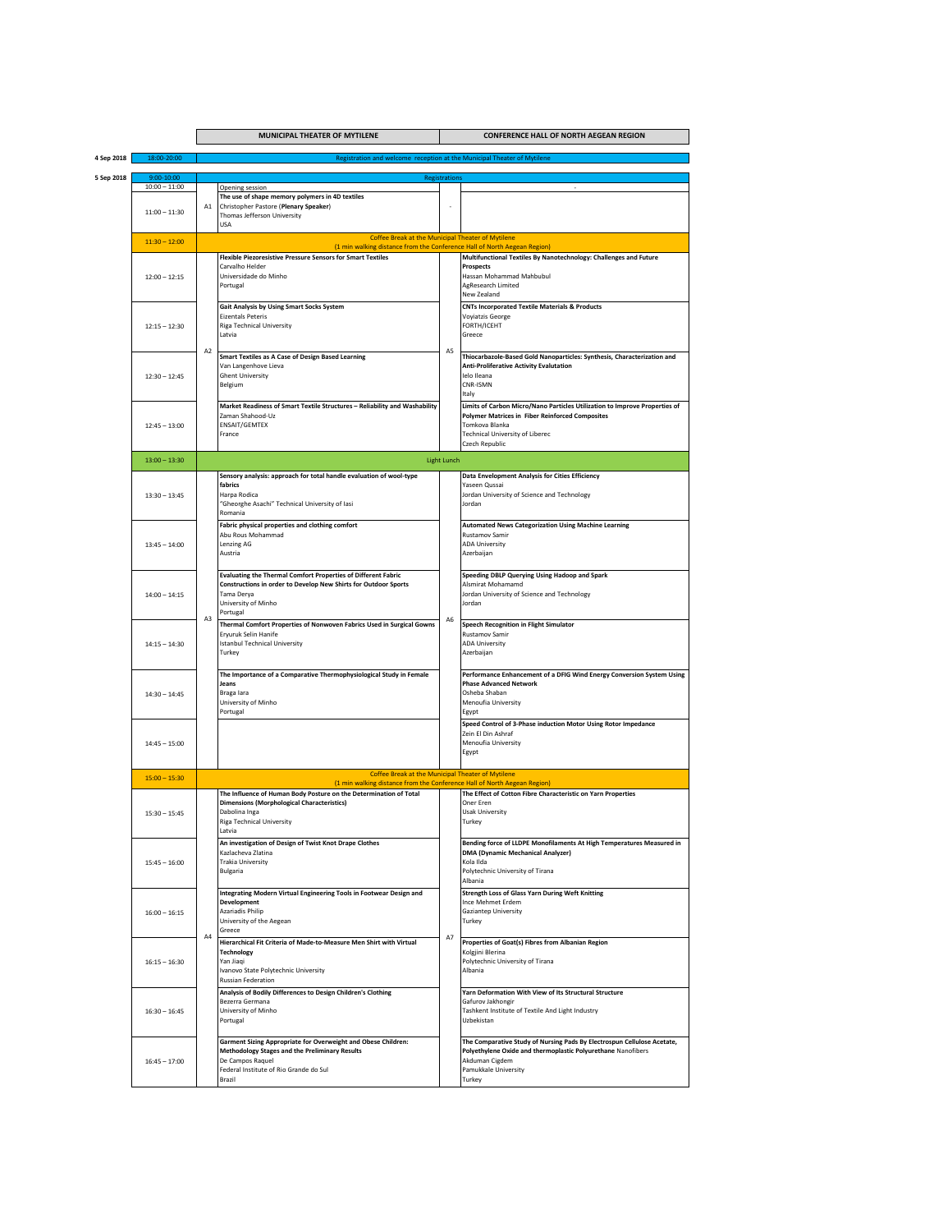|            |                               | MUNICIPAL THEATER OF MYTILENE<br><b>CONFERENCE HALL OF NORTH AEGEAN REGION</b> |                                                                                                                                                                                          |                    |                                                                                                                                                                                                                    |  |  |
|------------|-------------------------------|--------------------------------------------------------------------------------|------------------------------------------------------------------------------------------------------------------------------------------------------------------------------------------|--------------------|--------------------------------------------------------------------------------------------------------------------------------------------------------------------------------------------------------------------|--|--|
| 4 Sep 2018 | 18:00-20:00                   | Registration and welcome reception at the Municipal Theater of Mytilene        |                                                                                                                                                                                          |                    |                                                                                                                                                                                                                    |  |  |
|            |                               | <b>Registrations</b>                                                           |                                                                                                                                                                                          |                    |                                                                                                                                                                                                                    |  |  |
| 5 Sep 2018 | 9:00-10:00<br>$10:00 - 11:00$ |                                                                                | Opening session                                                                                                                                                                          |                    |                                                                                                                                                                                                                    |  |  |
|            | $11:00 - 11:30$               | A <sub>1</sub>                                                                 | The use of shape memory polymers in 4D textiles<br>Christopher Pastore (Plenary Speaker)<br>Thomas Jefferson University<br><b>USA</b>                                                    |                    |                                                                                                                                                                                                                    |  |  |
|            |                               |                                                                                | <b>Coffee Break at the Municipal Theater of Mytilene</b>                                                                                                                                 |                    |                                                                                                                                                                                                                    |  |  |
|            | $11:30 - 12:00$               |                                                                                | (1 min walking distance from the Conference Hall of North Aegean Region)                                                                                                                 |                    |                                                                                                                                                                                                                    |  |  |
|            |                               |                                                                                | <b>Flexible Piezoresistive Pressure Sensors for Smart Textiles</b>                                                                                                                       |                    | Multifunctional Textiles By Nanotechnology: Challenges and Future                                                                                                                                                  |  |  |
|            | $12:00 - 12:15$               | A <sub>2</sub>                                                                 | Carvalho Helder<br>Universidade do Minho<br>Portugal                                                                                                                                     |                    | <b>Prospects</b><br>Hassan Mohammad Mahbubul<br>AgResearch Limited<br>New Zealand                                                                                                                                  |  |  |
|            | $12:15 - 12:30$               |                                                                                | Gait Analysis by Using Smart Socks System<br><b>Eizentals Peteris</b><br>Riga Technical University<br>Latvia                                                                             | A <sub>5</sub>     | <b>CNTs Incorporated Textile Materials &amp; Products</b><br><b>Voyiatzis George</b><br>FORTH/ICEHT<br>Greece                                                                                                      |  |  |
|            | $12:30 - 12:45$               |                                                                                | Smart Textiles as A Case of Design Based Learning<br>Van Langenhove Lieva<br><b>Ghent University</b><br>Belgium                                                                          |                    | Thiocarbazole-Based Gold Nanoparticles: Synthesis, Characterization and<br><b>Anti-Proliferative Activity Evalutation</b><br>lelo Ileana<br>CNR-ISMN<br>Italy                                                      |  |  |
|            | $12:45 - 13:00$               |                                                                                | Market Readiness of Smart Textile Structures - Reliability and Washability<br>Zaman Shahood-Uz<br><b>ENSAIT/GEMTEX</b><br>France                                                         |                    | Limits of Carbon Micro/Nano Particles Utilization to Improve Properties of<br><b>Polymer Matrices in Fiber Reinforced Composites</b><br>Tomkova Blanka<br><b>Technical University of Liberec</b><br>Czech Republic |  |  |
|            | $13:00 - 13:30$               |                                                                                |                                                                                                                                                                                          | <b>Light Lunch</b> |                                                                                                                                                                                                                    |  |  |
|            |                               |                                                                                |                                                                                                                                                                                          |                    | Data Envelopment Analysis for Cities Efficiency                                                                                                                                                                    |  |  |
|            | $13:30 - 13:45$               | A <sub>3</sub>                                                                 | Sensory analysis: approach for total handle evaluation of wool-type<br>fabrics<br>Harpa Rodica<br>"Gheorghe Asachi" Technical University of Iasi<br>Romania                              |                    | Yaseen Qussai<br>Jordan University of Science and Technology<br>Jordan                                                                                                                                             |  |  |
|            | $13:45 - 14:00$               |                                                                                | Fabric physical properties and clothing comfort<br>Abu Rous Mohammad<br>Lenzing AG<br>Austria                                                                                            |                    | <b>Automated News Categorization Using Machine Learning</b><br>Rustamov Samir<br><b>ADA University</b><br>Azerbaijan                                                                                               |  |  |
|            | $14:00 - 14:15$               |                                                                                | <b>Evaluating the Thermal Comfort Properties of Different Fabric</b><br>Constructions in order to Develop New Shirts for Outdoor Sports<br>Tama Derya<br>University of Minho<br>Portugal |                    | Speeding DBLP Querying Using Hadoop and Spark<br>Alsmirat Mohamamd<br>Jordan University of Science and Technology<br>Jordan                                                                                        |  |  |
|            | $14:15 - 14:30$               |                                                                                | Thermal Comfort Properties of Nonwoven Fabrics Used in Surgical Gowns<br>Eryuruk Selin Hanife<br><b>Istanbul Technical University</b><br>Turkey                                          | A <sub>6</sub>     | Speech Recognition in Flight Simulator<br>Rustamov Samir<br><b>ADA University</b><br>Azerbaijan                                                                                                                    |  |  |
|            | $14:30 - 14:45$               |                                                                                | The Importance of a Comparative Thermophysiological Study in Female<br>Jeans<br>Braga lara<br>University of Minho<br>Portugal                                                            |                    | Performance Enhancement of a DFIG Wind Energy Conversion System Using<br><b>Phase Advanced Network</b><br>Osheba Shaban<br>Menoufia University<br>Egypt                                                            |  |  |
|            | $14:45 - 15:00$               |                                                                                |                                                                                                                                                                                          |                    | Speed Control of 3-Phase induction Motor Using Rotor Impedance<br>Zein El Din Ashraf<br>Menoufia University<br>Egypt                                                                                               |  |  |
|            | $15:00 - 15:30$               |                                                                                | Coffee Break at the Municipal Theater of Mytilene<br>(1 min walking distance from the Conference Hall of North Aegean Region)                                                            |                    |                                                                                                                                                                                                                    |  |  |
|            | $15:30 - 15:45$               | A <sub>4</sub>                                                                 | The Influence of Human Body Posture on the Determination of Total<br><b>Dimensions (Morphological Characteristics)</b><br>Dabolina Inga<br>Riga Technical University<br>Latvia           |                    | The Effect of Cotton Fibre Characteristic on Yarn Properties<br>Oner Eren<br><b>Usak University</b><br>Turkey                                                                                                      |  |  |
|            | $15:45 - 16:00$               |                                                                                | An investigation of Design of Twist Knot Drape Clothes<br>Kazlacheva Zlatina<br>Trakia University<br>Bulgaria                                                                            | A7                 | Bending force of LLDPE Monofilaments At High Temperatures Measured in<br><b>DMA (Dynamic Mechanical Analyzer)</b><br>Kola Ilda<br>Polytechnic University of Tirana<br>Albania                                      |  |  |
|            | $16:00 - 16:15$               |                                                                                | Integrating Modern Virtual Engineering Tools in Footwear Design and<br>Development<br>Azariadis Philip<br>University of the Aegean<br>Greece                                             |                    | <b>Strength Loss of Glass Yarn During Weft Knitting</b><br>Ince Mehmet Erdem<br>Gaziantep University<br>Turkey                                                                                                     |  |  |
|            | $16:15 - 16:30$               |                                                                                | Hierarchical Fit Criteria of Made-to-Measure Men Shirt with Virtual<br><b>Technology</b><br>Yan Jiaqi<br>Ivanovo State Polytechnic University<br>Russian Federation                      |                    | Properties of Goat(s) Fibres from Albanian Region<br>Kolgjini Blerina<br>Polytechnic University of Tirana<br>Albania                                                                                               |  |  |
|            | $16:30 - 16:45$               |                                                                                | Analysis of Bodily Differences to Design Children's Clothing<br>Bezerra Germana<br>University of Minho<br>Portugal                                                                       |                    | Yarn Deformation With View of Its Structural Structure<br>Gafurov Jakhongir<br>Tashkent Institute of Textile And Light Industry<br>Uzbekistan                                                                      |  |  |
|            | $16:45 - 17:00$               |                                                                                | Garment Sizing Appropriate for Overweight and Obese Children:<br>Methodology Stages and the Preliminary Results<br>De Campos Raquel<br>Federal Institute of Rio Grande do Sul<br>Brazil  |                    | The Comparative Study of Nursing Pads By Electrospun Cellulose Acetate,<br>Polyethylene Oxide and thermoplastic Polyurethane Nanofibers<br>Akduman Cigdem<br>Pamukkale University<br>Turkey                        |  |  |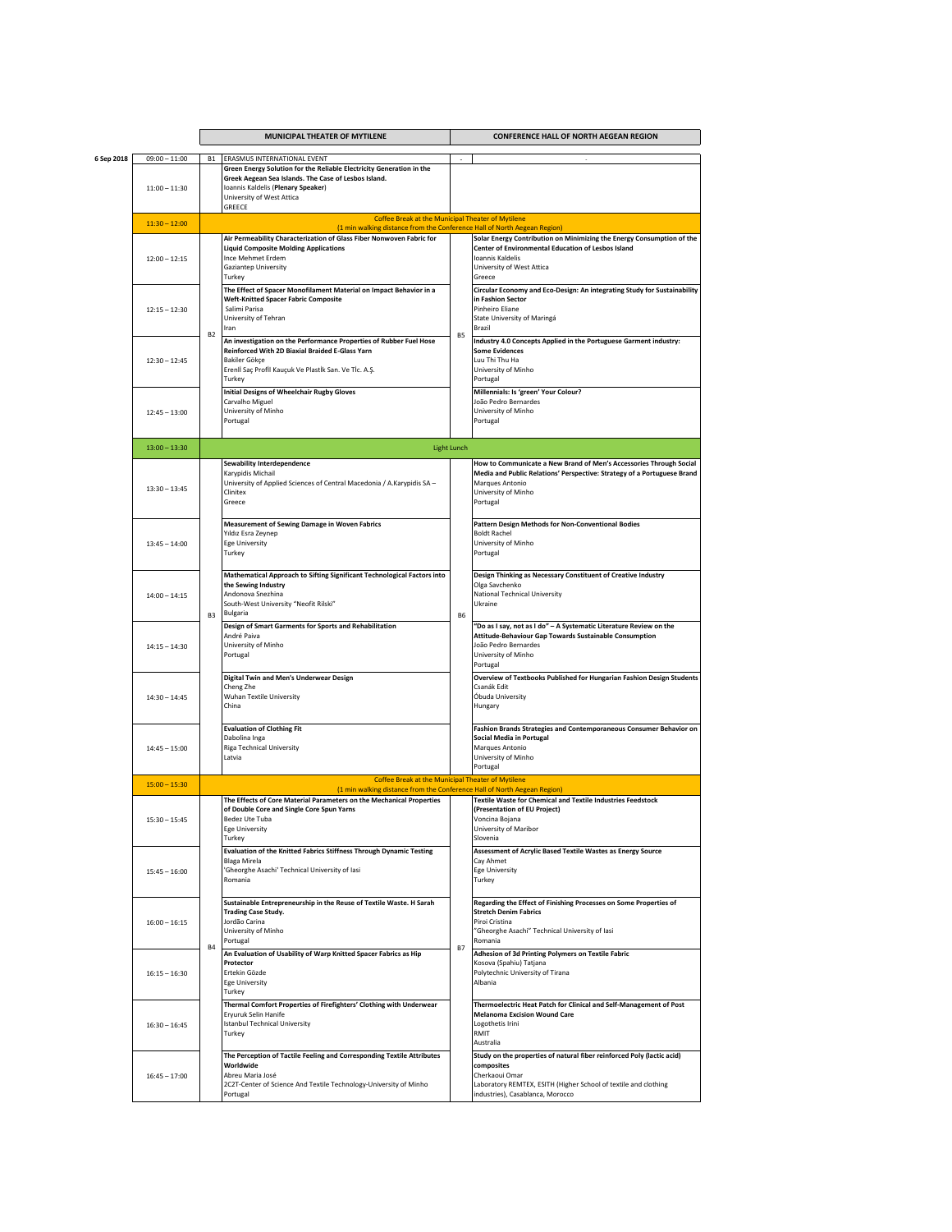|            |                                    |           | MUNICIPAL THEATER OF MYTILENE                                                                                                                                                                                                                           |                    | <b>CONFERENCE HALL OF NORTH AEGEAN REGION</b>                                                                                                                                                                                          |  |
|------------|------------------------------------|-----------|---------------------------------------------------------------------------------------------------------------------------------------------------------------------------------------------------------------------------------------------------------|--------------------|----------------------------------------------------------------------------------------------------------------------------------------------------------------------------------------------------------------------------------------|--|
| 6 Sep 2018 | $09:00 - 11:00$<br>$11:00 - 11:30$ | <b>B1</b> | ERASMUS INTERNATIONAL EVENT<br>Green Energy Solution for the Reliable Electricity Generation in the<br>Greek Aegean Sea Islands. The Case of Lesbos Island.<br>Ioannis Kaldelis (Plenary Speaker)<br>University of West Attica<br>GREECE                |                    |                                                                                                                                                                                                                                        |  |
|            | $11:30 - 12:00$                    |           | Coffee Break at the Municipal Theater of Mytilene                                                                                                                                                                                                       |                    |                                                                                                                                                                                                                                        |  |
|            | $12:00 - 12:15$                    |           | (1 min walking distance from the Conference Hall of North Aegean Region)<br>Air Permeability Characterization of Glass Fiber Nonwoven Fabric for<br><b>Liquid Composite Molding Applications</b><br>Ince Mehmet Erdem<br>Gaziantep University<br>Turkey |                    | Solar Energy Contribution on Minimizing the Energy Consumption of the<br>Center of Environmental Education of Lesbos Island<br>Ioannis Kaldelis<br>University of West Attica<br>Greece                                                 |  |
|            | $12:15 - 12:30$                    | <b>B2</b> | The Effect of Spacer Monofilament Material on Impact Behavior in a<br><b>Weft-Knitted Spacer Fabric Composite</b><br>Salimi Parisa<br>University of Tehran<br>Iran                                                                                      | B5                 | Circular Economy and Eco-Design: An integrating Study for Sustainability<br>in Fashion Sector<br>Pinheiro Eliane<br>State University of Maringá<br>Brazil                                                                              |  |
|            | $12:30 - 12:45$                    |           | An investigation on the Performance Properties of Rubber Fuel Hose<br>Reinforced With 2D Biaxial Braided E-Glass Yarn<br>Bakiler Gökçe<br>Erenli Saç Profil Kauçuk Ve Plastik San. Ve Tic. A.Ş.<br>Turkey                                               |                    | Industry 4.0 Concepts Applied in the Portuguese Garment industry:<br><b>Some Evidences</b><br>Luu Thi Thu Ha<br>University of Minho<br>Portugal                                                                                        |  |
|            | $12:45 - 13:00$                    |           | <b>Initial Designs of Wheelchair Rugby Gloves</b><br>Carvalho Miguel<br>University of Minho<br>Portugal                                                                                                                                                 |                    | Millennials: Is 'green' Your Colour?<br>João Pedro Bernardes<br>University of Minho<br>Portugal                                                                                                                                        |  |
|            | $13:00 - 13:30$                    |           |                                                                                                                                                                                                                                                         | <b>Light Lunch</b> |                                                                                                                                                                                                                                        |  |
|            | $13:30 - 13:45$                    | <b>B3</b> | Sewability Interdependence<br>Karypidis Michail<br>University of Applied Sciences of Central Macedonia / A.Karypidis SA -<br>Clinitex<br>Greece                                                                                                         | <b>B6</b>          | How to Communicate a New Brand of Men's Accessories Through Social<br>Media and Public Relations' Perspective: Strategy of a Portuguese Brand<br>Marques Antonio<br>University of Minho<br>Portugal                                    |  |
|            | $13:45 - 14:00$                    |           | Measurement of Sewing Damage in Woven Fabrics<br>Yıldız Esra Zeynep<br><b>Ege University</b><br>Turkey                                                                                                                                                  |                    | Pattern Design Methods for Non-Conventional Bodies<br><b>Boldt Rachel</b><br>University of Minho<br>Portugal                                                                                                                           |  |
|            | $14:00 - 14:15$                    |           | Mathematical Approach to Sifting Significant Technological Factors into<br>the Sewing Industry<br>Andonova Snezhina<br>South-West University "Neofit Rilski"<br><b>Bulgaria</b>                                                                         |                    | Design Thinking as Necessary Constituent of Creative Industry<br>Olga Savchenko<br>National Technical University<br>Ukraine                                                                                                            |  |
|            | $14:15 - 14:30$                    |           | Design of Smart Garments for Sports and Rehabilitation<br>André Paiva<br>University of Minho<br>Portugal                                                                                                                                                |                    | 'Do as I say, not as I do" - A Systematic Literature Review on the<br>Attitude-Behaviour Gap Towards Sustainable Consumption<br>João Pedro Bernardes<br>University of Minho<br>Portugal                                                |  |
|            | $14:30 - 14:45$                    |           | Digital Twin and Men's Underwear Design<br>Cheng Zhe<br>Wuhan Textile University<br>China                                                                                                                                                               |                    | Overview of Textbooks Published for Hungarian Fashion Design Students<br>Csanák Edit<br>Óbuda University<br>Hungary                                                                                                                    |  |
|            | $14:45 - 15:00$                    |           | <b>Evaluation of Clothing Fit</b><br>Dabolina Inga<br>Riga Technical University<br>Latvia                                                                                                                                                               |                    | Fashion Brands Strategies and Contemporaneous Consumer Behavior on<br><b>Social Media in Portugal</b><br>Marques Antonio<br>University of Minho<br>Portugal                                                                            |  |
|            | $15:00 - 15:30$                    |           | Coffee Break at the Municipal Theater of Mytilene<br>(1 min walking distance from the Conference Hall of North Aegean Region)                                                                                                                           |                    |                                                                                                                                                                                                                                        |  |
|            | $15:30 - 15:45$                    | <b>B4</b> | The Effects of Core Material Parameters on the Mechanical Properties<br>of Double Core and Single Core Spun Yarns<br>Bedez Ute Tuba<br>Ege University<br>Turkey                                                                                         | <b>B7</b>          | Textile Waste for Chemical and Textile Industries Feedstock<br>(Presentation of EU Project)<br>Voncina Bojana<br>University of Maribor<br>Slovenia                                                                                     |  |
|            | $15:45 - 16:00$                    |           | Evaluation of the Knitted Fabrics Stiffness Through Dynamic Testing<br><b>Blaga Mirela</b><br>'Gheorghe Asachi' Technical University of lasi<br>Romania                                                                                                 |                    | Assessment of Acrylic Based Textile Wastes as Energy Source<br>Cay Ahmet<br><b>Ege University</b><br>Turkey                                                                                                                            |  |
|            | $16:00 - 16:15$                    |           | Sustainable Entrepreneurship in the Reuse of Textile Waste. H Sarah<br><b>Trading Case Study.</b><br>Jordão Carina<br>University of Minho<br>Portugal<br>An Evaluation of Usability of Warp Knitted Spacer Fabrics as Hip                               |                    | Regarding the Effect of Finishing Processes on Some Properties of<br><b>Stretch Denim Fabrics</b><br>Piroi Cristina<br>"Gheorghe Asachi" Technical University of lasi<br>Romania<br>Adhesion of 3d Printing Polymers on Textile Fabric |  |
|            | $16:15 - 16:30$                    |           | Protector<br>Ertekin Gözde<br><b>Ege University</b><br>Turkey                                                                                                                                                                                           |                    | Kosova (Spahiu) Tatjana<br>Polytechnic University of Tirana<br>Albania                                                                                                                                                                 |  |
|            | $16:30 - 16:45$                    |           | Thermal Comfort Properties of Firefighters' Clothing with Underwear<br>Eryuruk Selin Hanife<br><b>Istanbul Technical University</b><br>Turkey                                                                                                           |                    | Thermoelectric Heat Patch for Clinical and Self-Management of Post<br><b>Melanoma Excision Wound Care</b><br>Logothetis Irini<br>RMIT<br>Australia                                                                                     |  |
|            | $16:45 - 17:00$                    |           | The Perception of Tactile Feeling and Corresponding Textile Attributes<br>Worldwide<br>Abreu Maria José<br>2C2T-Center of Science And Textile Technology-University of Minho<br>Portugal                                                                |                    | Study on the properties of natural fiber reinforced Poly (lactic acid)<br>composites<br>Cherkaoui Omar<br>Laboratory REMTEX, ESITH (Higher School of textile and clothing<br>industries), Casablanca, Morocco                          |  |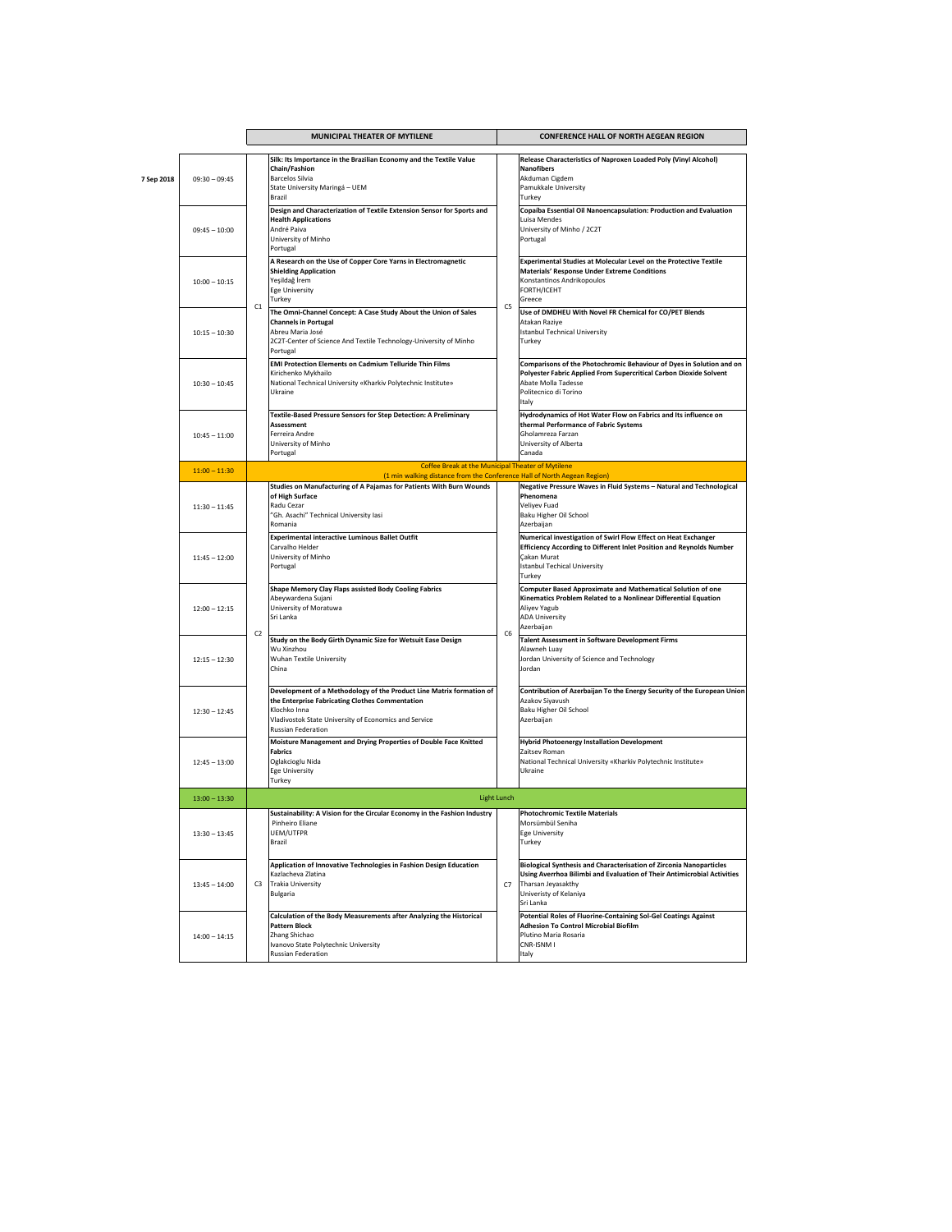|            |                 | MUNICIPAL THEATER OF MYTILENE |                                                                                                                                                                                                                                       | <b>CONFERENCE HALL OF NORTH AEGEAN REGION</b> |                                                                                                                                                                                                                    |
|------------|-----------------|-------------------------------|---------------------------------------------------------------------------------------------------------------------------------------------------------------------------------------------------------------------------------------|-----------------------------------------------|--------------------------------------------------------------------------------------------------------------------------------------------------------------------------------------------------------------------|
| 7 Sep 2018 | $09:30 - 09:45$ |                               | Silk: Its Importance in the Brazilian Economy and the Textile Value<br>Chain/Fashion<br><b>Barcelos Silvia</b><br>State University Maringá - UEM<br>Brazil                                                                            |                                               | Release Characteristics of Naproxen Loaded Poly (Vinyl Alcohol)<br><b>Nanofibers</b><br>Akduman Cigdem<br>Pamukkale University<br>Turkey                                                                           |
|            | $09:45 - 10:00$ | C1                            | Design and Characterization of Textile Extension Sensor for Sports and<br><b>Health Applications</b><br>André Paiva<br>University of Minho<br>Portugal                                                                                | C5                                            | Copaíba Essential Oil Nanoencapsulation: Production and Evaluation<br>Luisa Mendes<br>University of Minho / 2C2T<br>Portugal                                                                                       |
|            | $10:00 - 10:15$ |                               | A Research on the Use of Copper Core Yarns in Electromagnetic<br><b>Shielding Application</b><br>Yeşildağ İrem<br><b>Ege University</b><br>Turkey                                                                                     |                                               | Experimental Studies at Molecular Level on the Protective Textile<br><b>Materials' Response Under Extreme Conditions</b><br>Konstantinos Andrikopoulos<br>FORTH/ICEHT<br>Greece                                    |
|            | $10:15 - 10:30$ |                               | The Omni-Channel Concept: A Case Study About the Union of Sales<br><b>Channels in Portugal</b><br>Abreu Maria José<br>2C2T-Center of Science And Textile Technology-University of Minho<br>Portugal                                   |                                               | Use of DMDHEU With Novel FR Chemical for CO/PET Blends<br>Atakan Raziye<br><b>Istanbul Technical University</b><br>Turkey                                                                                          |
|            | $10:30 - 10:45$ |                               | EMI Protection Elements on Cadmium Telluride Thin Films<br>Kirichenko Mykhailo<br>National Technical University «Kharkiv Polytechnic Institute»<br>Ukraine                                                                            |                                               | Comparisons of the Photochromic Behaviour of Dyes in Solution and on<br>Polyester Fabric Applied From Supercritical Carbon Dioxide Solvent<br>Abate Molla Tadesse<br>Politecnico di Torino<br>Italy                |
|            | $10:45 - 11:00$ |                               | Textile-Based Pressure Sensors for Step Detection: A Preliminary<br>Assessment<br>Ferreira Andre<br>University of Minho<br>Portugal                                                                                                   |                                               | Hydrodynamics of Hot Water Flow on Fabrics and Its influence on<br>thermal Performance of Fabric Systems<br>Gholamreza Farzan<br>University of Alberta<br>Canada                                                   |
|            | $11:00 - 11:30$ |                               | <b>Coffee Break at the Municipal Theater of Mytilene</b>                                                                                                                                                                              |                                               |                                                                                                                                                                                                                    |
|            | $11:30 - 11:45$ |                               | (1 min walking distance from the Conference Hall of North Aegean Region)<br>Studies on Manufacturing of A Pajamas for Patients With Burn Wounds<br>of High Surface<br>Radu Cezar<br>"Gh. Asachi" Technical University Iasi<br>Romania |                                               | Negative Pressure Waves in Fluid Systems - Natural and Technological<br>Phenomena<br>Veliyev Fuad<br>Baku Higher Oil School<br>Azerbaijan                                                                          |
|            | $11:45 - 12:00$ |                               | <b>Experimental interactive Luminous Ballet Outfit</b><br>Carvalho Helder<br>University of Minho<br>Portugal                                                                                                                          |                                               | Numerical investigation of Swirl Flow Effect on Heat Exchanger<br>Efficiency According to Different Inlet Position and Reynolds Number<br>Çakan Murat<br><b>Istanbul Techical University</b><br>Turkey             |
|            | $12:00 - 12:15$ | C2                            | Shape Memory Clay Flaps assisted Body Cooling Fabrics<br>Abeywardena Sujani<br>University of Moratuwa<br>Sri Lanka                                                                                                                    | C6                                            | <b>Computer Based Approximate and Mathematical Solution of one</b><br>Kinematics Problem Related to a Nonlinear Differential Equation<br>Aliyev Yagub<br><b>ADA University</b><br>Azerbaijan                       |
|            | $12:15 - 12:30$ |                               | Study on the Body Girth Dynamic Size for Wetsuit Ease Design<br>Wu Xinzhou<br>Wuhan Textile University<br>China                                                                                                                       |                                               | Talent Assessment in Software Development Firms<br>Alawneh Luav<br>Jordan University of Science and Technology<br>Jordan                                                                                           |
|            | $12:30 - 12:45$ |                               | Development of a Methodology of the Product Line Matrix formation of<br>the Enterprise Fabricating Clothes Commentation<br>Klochko Inna<br>Vladivostok State University of Economics and Service<br>Russian Federation                |                                               | Contribution of Azerbaijan To the Energy Security of the European Union<br>Azakov Siyavush<br>Baku Higher Oil School<br>Azerbaijan                                                                                 |
|            | $12:45 - 13:00$ |                               | Moisture Management and Drying Properties of Double Face Knitted<br><b>Fabrics</b><br>Oglakcioglu Nida<br><b>Ege University</b><br>Turkey                                                                                             |                                               | <b>Hybrid Photoenergy Installation Development</b><br>Zaitsev Roman<br>National Technical University «Kharkiv Polytechnic Institute»<br>Ukraine                                                                    |
|            | $13:00 - 13:30$ |                               |                                                                                                                                                                                                                                       | <b>Light Lunch</b>                            |                                                                                                                                                                                                                    |
|            | $13:30 - 13:45$ |                               | Sustainability: A Vision for the Circular Economy in the Fashion Industry<br>Pinheiro Eliane<br>UEM/UTFPR<br>Brazil                                                                                                                   |                                               | <b>Photochromic Textile Materials</b><br>Morsümbül Seniha<br>Ege University<br>Turkey                                                                                                                              |
|            | $13:45 - 14:00$ | C3                            | Application of Innovative Technologies in Fashion Design Education<br>Kazlacheva Zlatina<br><b>Trakia University</b><br><b>Bulgaria</b>                                                                                               | C7                                            | <b>Biological Synthesis and Characterisation of Zirconia Nanoparticles</b><br>Using Averrhoa Bilimbi and Evaluation of Their Antimicrobial Activities<br>Tharsan Jeyasakthy<br>Univeristy of Kelaniya<br>Sri Lanka |
|            | $14:00 - 14:15$ |                               | Calculation of the Body Measurements after Analyzing the Historical<br><b>Pattern Block</b><br>Zhang Shichao<br>Ivanovo State Polytechnic University<br>Russian Federation                                                            |                                               | Potential Roles of Fluorine-Containing Sol-Gel Coatings Against<br><b>Adhesion To Control Microbial Biofilm</b><br>Plutino Maria Rosaria<br>CNR-ISNM I<br>Italy                                                    |